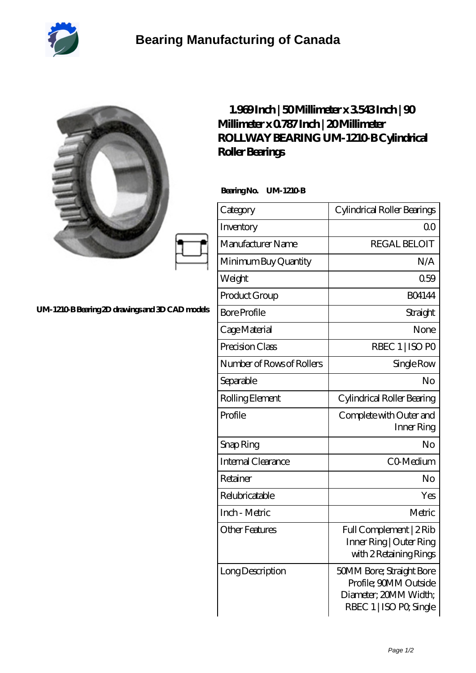

**UM-**

I

|                                              | 1.969Inch   50Millimeter x 3543Inch   90<br>Millimeter x 0787 Inch   20 Millimeter<br>ROLLWAY BEARING UM-1210 B Cylindrical<br>Roller Bearings<br>BearingNo.<br><b>UM-1210B</b> |                                                                                                       |
|----------------------------------------------|---------------------------------------------------------------------------------------------------------------------------------------------------------------------------------|-------------------------------------------------------------------------------------------------------|
|                                              | Category                                                                                                                                                                        | Cylindrical Roller Bearings                                                                           |
|                                              | Inventory                                                                                                                                                                       | 0 <sub>0</sub>                                                                                        |
|                                              | Manufacturer Name                                                                                                                                                               | <b>REGAL BELOIT</b>                                                                                   |
|                                              | Minimum Buy Quantity                                                                                                                                                            | N/A                                                                                                   |
|                                              | Weight                                                                                                                                                                          | 0.59                                                                                                  |
|                                              | Product Group                                                                                                                                                                   | <b>BO4144</b>                                                                                         |
| 1210 B Bearing 2D drawings and 3D CAD models | <b>Bore Profile</b>                                                                                                                                                             | Straight                                                                                              |
|                                              | Cage Material                                                                                                                                                                   | None                                                                                                  |
|                                              | Precision Class                                                                                                                                                                 | RBEC 1   ISO PO                                                                                       |
|                                              | Number of Rows of Rollers                                                                                                                                                       | Single Row                                                                                            |
|                                              | Separable                                                                                                                                                                       | No                                                                                                    |
|                                              | Rolling Element                                                                                                                                                                 | Cylindrical Roller Bearing                                                                            |
|                                              | Profile                                                                                                                                                                         | Complete with Outer and<br>Inner Ring                                                                 |
|                                              | Snap Ring                                                                                                                                                                       | No                                                                                                    |
|                                              | Internal Clearance                                                                                                                                                              | CO <sub>Medium</sub>                                                                                  |
|                                              | Retainer                                                                                                                                                                        | No                                                                                                    |
|                                              | Relubricatable                                                                                                                                                                  | Yes                                                                                                   |
|                                              | Inch - Metric                                                                                                                                                                   | Metric                                                                                                |
|                                              | <b>Other Features</b>                                                                                                                                                           | Full Complement   2Rib<br>Inner Ring   Outer Ring<br>with 2 Retaining Rings                           |
|                                              | Long Description                                                                                                                                                                | 50MM Bore; Straight Bore<br>Profile; 90MM Outside<br>Diameter; 20MM Width;<br>RBEC 1   ISO PO, Single |